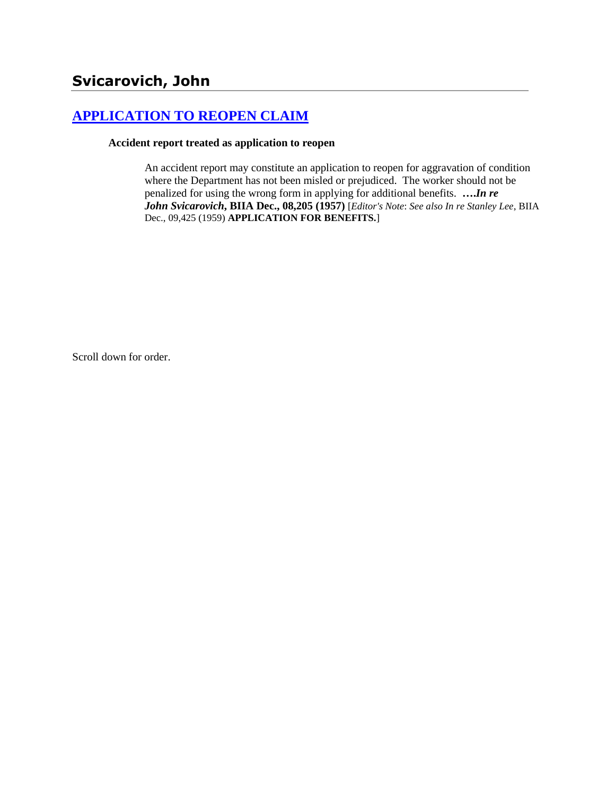# **[APPLICATION TO REOPEN CLAIM](http://www.biia.wa.gov/SDSubjectIndex.html#APPLICATION_TO_REOPEN_CLAIM)**

#### **Accident report treated as application to reopen**

An accident report may constitute an application to reopen for aggravation of condition where the Department has not been misled or prejudiced. The worker should not be penalized for using the wrong form in applying for additional benefits. **….***In re John Svicarovich***, BIIA Dec., 08,205 (1957)** [*Editor's Note*: *See also In re Stanley Lee*, BIIA Dec., 09,425 (1959) **APPLICATION FOR BENEFITS.**]

Scroll down for order.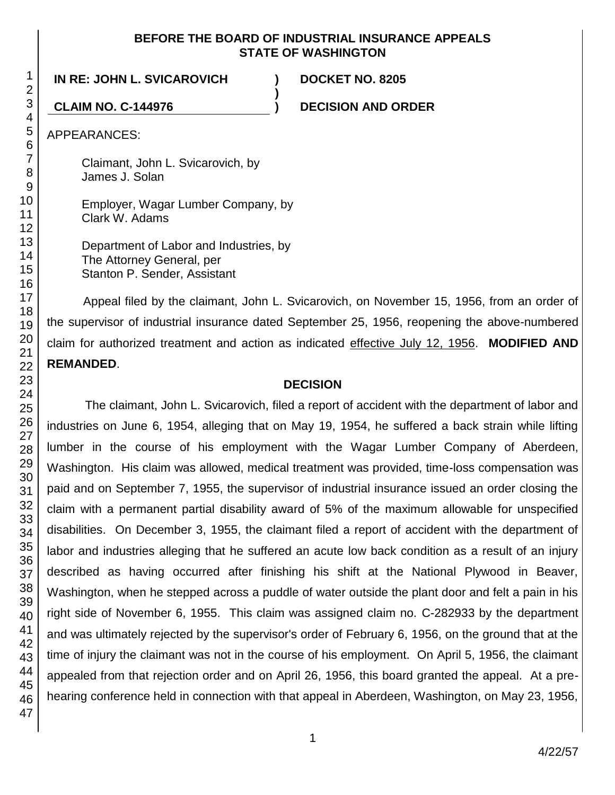#### **BEFORE THE BOARD OF INDUSTRIAL INSURANCE APPEALS STATE OF WASHINGTON**

**)**

**IN RE: JOHN L. SVICAROVICH ) DOCKET NO. 8205**

**CLAIM NO. C-144976 ) DECISION AND ORDER**

APPEARANCES:

Claimant, John L. Svicarovich, by James J. Solan

Employer, Wagar Lumber Company, by Clark W. Adams

Department of Labor and Industries, by The Attorney General, per Stanton P. Sender, Assistant

Appeal filed by the claimant, John L. Svicarovich, on November 15, 1956, from an order of the supervisor of industrial insurance dated September 25, 1956, reopening the above-numbered claim for authorized treatment and action as indicated effective July 12, 1956. **MODIFIED AND REMANDED**.

## **DECISION**

The claimant, John L. Svicarovich, filed a report of accident with the department of labor and industries on June 6, 1954, alleging that on May 19, 1954, he suffered a back strain while lifting lumber in the course of his employment with the Wagar Lumber Company of Aberdeen, Washington. His claim was allowed, medical treatment was provided, time-loss compensation was paid and on September 7, 1955, the supervisor of industrial insurance issued an order closing the claim with a permanent partial disability award of 5% of the maximum allowable for unspecified disabilities. On December 3, 1955, the claimant filed a report of accident with the department of labor and industries alleging that he suffered an acute low back condition as a result of an injury described as having occurred after finishing his shift at the National Plywood in Beaver, Washington, when he stepped across a puddle of water outside the plant door and felt a pain in his right side of November 6, 1955. This claim was assigned claim no. C-282933 by the department and was ultimately rejected by the supervisor's order of February 6, 1956, on the ground that at the time of injury the claimant was not in the course of his employment. On April 5, 1956, the claimant appealed from that rejection order and on April 26, 1956, this board granted the appeal. At a prehearing conference held in connection with that appeal in Aberdeen, Washington, on May 23, 1956,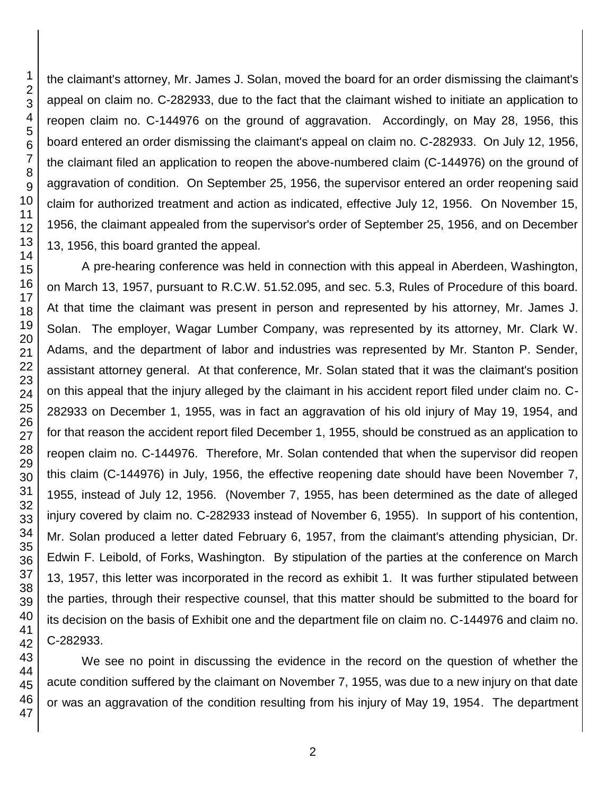the claimant's attorney, Mr. James J. Solan, moved the board for an order dismissing the claimant's appeal on claim no. C-282933, due to the fact that the claimant wished to initiate an application to reopen claim no. C-144976 on the ground of aggravation. Accordingly, on May 28, 1956, this board entered an order dismissing the claimant's appeal on claim no. C-282933. On July 12, 1956, the claimant filed an application to reopen the above-numbered claim (C-144976) on the ground of aggravation of condition. On September 25, 1956, the supervisor entered an order reopening said claim for authorized treatment and action as indicated, effective July 12, 1956. On November 15, 1956, the claimant appealed from the supervisor's order of September 25, 1956, and on December 13, 1956, this board granted the appeal.

A pre-hearing conference was held in connection with this appeal in Aberdeen, Washington, on March 13, 1957, pursuant to R.C.W. 51.52.095, and sec. 5.3, Rules of Procedure of this board. At that time the claimant was present in person and represented by his attorney, Mr. James J. Solan. The employer, Wagar Lumber Company, was represented by its attorney, Mr. Clark W. Adams, and the department of labor and industries was represented by Mr. Stanton P. Sender, assistant attorney general. At that conference, Mr. Solan stated that it was the claimant's position on this appeal that the injury alleged by the claimant in his accident report filed under claim no. C-282933 on December 1, 1955, was in fact an aggravation of his old injury of May 19, 1954, and for that reason the accident report filed December 1, 1955, should be construed as an application to reopen claim no. C-144976. Therefore, Mr. Solan contended that when the supervisor did reopen this claim (C-144976) in July, 1956, the effective reopening date should have been November 7, 1955, instead of July 12, 1956. (November 7, 1955, has been determined as the date of alleged injury covered by claim no. C-282933 instead of November 6, 1955). In support of his contention, Mr. Solan produced a letter dated February 6, 1957, from the claimant's attending physician, Dr. Edwin F. Leibold, of Forks, Washington. By stipulation of the parties at the conference on March 13, 1957, this letter was incorporated in the record as exhibit 1. It was further stipulated between the parties, through their respective counsel, that this matter should be submitted to the board for its decision on the basis of Exhibit one and the department file on claim no. C-144976 and claim no. C-282933.

We see no point in discussing the evidence in the record on the question of whether the acute condition suffered by the claimant on November 7, 1955, was due to a new injury on that date or was an aggravation of the condition resulting from his injury of May 19, 1954. The department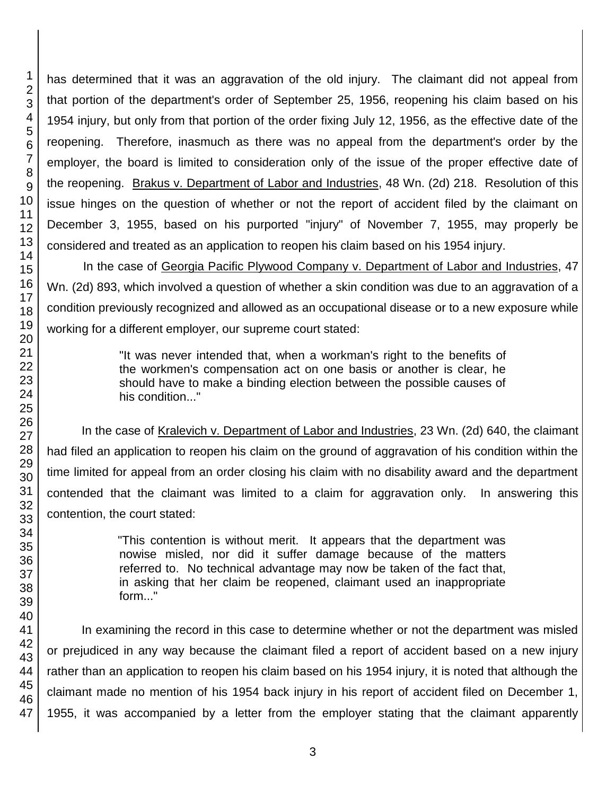has determined that it was an aggravation of the old injury. The claimant did not appeal from that portion of the department's order of September 25, 1956, reopening his claim based on his 1954 injury, but only from that portion of the order fixing July 12, 1956, as the effective date of the reopening. Therefore, inasmuch as there was no appeal from the department's order by the employer, the board is limited to consideration only of the issue of the proper effective date of the reopening. Brakus v. Department of Labor and Industries, 48 Wn. (2d) 218. Resolution of this issue hinges on the question of whether or not the report of accident filed by the claimant on December 3, 1955, based on his purported "injury" of November 7, 1955, may properly be considered and treated as an application to reopen his claim based on his 1954 injury.

In the case of Georgia Pacific Plywood Company v. Department of Labor and Industries, 47 Wn. (2d) 893, which involved a question of whether a skin condition was due to an aggravation of a condition previously recognized and allowed as an occupational disease or to a new exposure while working for a different employer, our supreme court stated:

> "It was never intended that, when a workman's right to the benefits of the workmen's compensation act on one basis or another is clear, he should have to make a binding election between the possible causes of his condition..."

In the case of Kralevich v. Department of Labor and Industries, 23 Wn. (2d) 640, the claimant had filed an application to reopen his claim on the ground of aggravation of his condition within the time limited for appeal from an order closing his claim with no disability award and the department contended that the claimant was limited to a claim for aggravation only. In answering this contention, the court stated:

> "This contention is without merit. It appears that the department was nowise misled, nor did it suffer damage because of the matters referred to. No technical advantage may now be taken of the fact that, in asking that her claim be reopened, claimant used an inappropriate form..."

In examining the record in this case to determine whether or not the department was misled or prejudiced in any way because the claimant filed a report of accident based on a new injury rather than an application to reopen his claim based on his 1954 injury, it is noted that although the claimant made no mention of his 1954 back injury in his report of accident filed on December 1, 1955, it was accompanied by a letter from the employer stating that the claimant apparently

1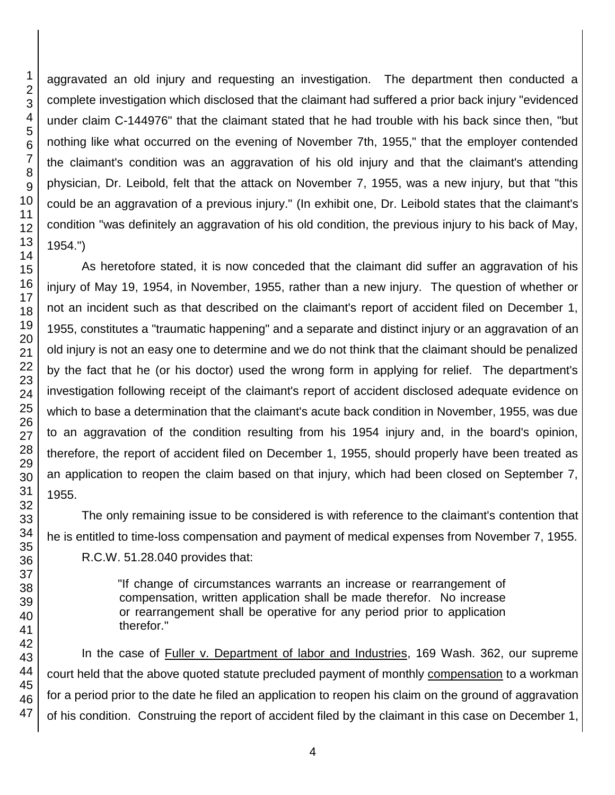46 47

1 2 3

aggravated an old injury and requesting an investigation. The department then conducted a complete investigation which disclosed that the claimant had suffered a prior back injury "evidenced under claim C-144976" that the claimant stated that he had trouble with his back since then, "but nothing like what occurred on the evening of November 7th, 1955," that the employer contended the claimant's condition was an aggravation of his old injury and that the claimant's attending physician, Dr. Leibold, felt that the attack on November 7, 1955, was a new injury, but that "this could be an aggravation of a previous injury." (In exhibit one, Dr. Leibold states that the claimant's condition "was definitely an aggravation of his old condition, the previous injury to his back of May, 1954.")

As heretofore stated, it is now conceded that the claimant did suffer an aggravation of his injury of May 19, 1954, in November, 1955, rather than a new injury. The question of whether or not an incident such as that described on the claimant's report of accident filed on December 1, 1955, constitutes a "traumatic happening" and a separate and distinct injury or an aggravation of an old injury is not an easy one to determine and we do not think that the claimant should be penalized by the fact that he (or his doctor) used the wrong form in applying for relief. The department's investigation following receipt of the claimant's report of accident disclosed adequate evidence on which to base a determination that the claimant's acute back condition in November, 1955, was due to an aggravation of the condition resulting from his 1954 injury and, in the board's opinion, therefore, the report of accident filed on December 1, 1955, should properly have been treated as an application to reopen the claim based on that injury, which had been closed on September 7,

The only remaining issue to be considered is with reference to the claimant's contention that he is entitled to time-loss compensation and payment of medical expenses from November 7, 1955. R.C.W. 51.28.040 provides that:

> "If change of circumstances warrants an increase or rearrangement of compensation, written application shall be made therefor. No increase or rearrangement shall be operative for any period prior to application therefor."

In the case of Fuller v. Department of labor and Industries, 169 Wash. 362, our supreme court held that the above quoted statute precluded payment of monthly compensation to a workman for a period prior to the date he filed an application to reopen his claim on the ground of aggravation of his condition. Construing the report of accident filed by the claimant in this case on December 1,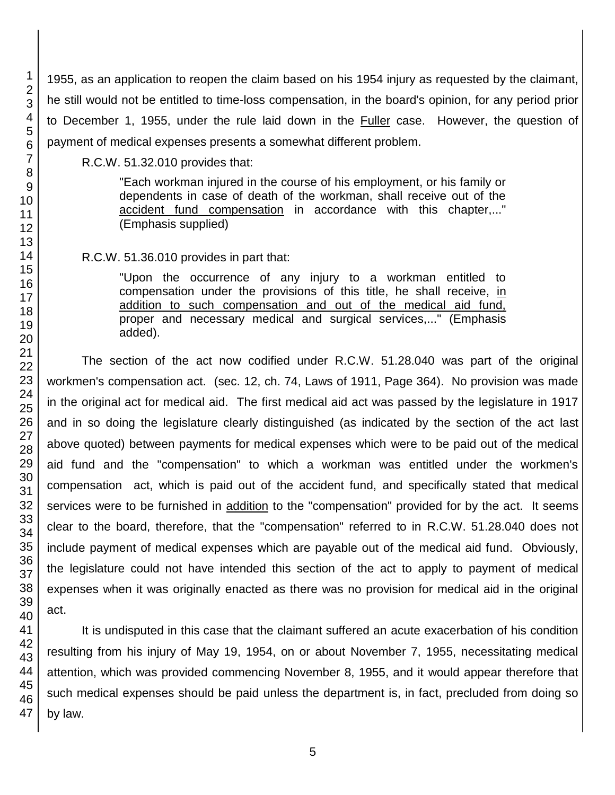1955, as an application to reopen the claim based on his 1954 injury as requested by the claimant, he still would not be entitled to time-loss compensation, in the board's opinion, for any period prior to December 1, 1955, under the rule laid down in the Fuller case. However, the question of payment of medical expenses presents a somewhat different problem.

R.C.W. 51.32.010 provides that:

"Each workman injured in the course of his employment, or his family or dependents in case of death of the workman, shall receive out of the accident fund compensation in accordance with this chapter,..." (Emphasis supplied)

R.C.W. 51.36.010 provides in part that:

"Upon the occurrence of any injury to a workman entitled to compensation under the provisions of this title, he shall receive, in addition to such compensation and out of the medical aid fund, proper and necessary medical and surgical services,..." (Emphasis added).

The section of the act now codified under R.C.W. 51.28.040 was part of the original workmen's compensation act. (sec. 12, ch. 74, Laws of 1911, Page 364). No provision was made in the original act for medical aid. The first medical aid act was passed by the legislature in 1917 and in so doing the legislature clearly distinguished (as indicated by the section of the act last above quoted) between payments for medical expenses which were to be paid out of the medical aid fund and the "compensation" to which a workman was entitled under the workmen's compensation act, which is paid out of the accident fund, and specifically stated that medical services were to be furnished in addition to the "compensation" provided for by the act. It seems clear to the board, therefore, that the "compensation" referred to in R.C.W. 51.28.040 does not include payment of medical expenses which are payable out of the medical aid fund. Obviously, the legislature could not have intended this section of the act to apply to payment of medical expenses when it was originally enacted as there was no provision for medical aid in the original act.

It is undisputed in this case that the claimant suffered an acute exacerbation of his condition resulting from his injury of May 19, 1954, on or about November 7, 1955, necessitating medical attention, which was provided commencing November 8, 1955, and it would appear therefore that such medical expenses should be paid unless the department is, in fact, precluded from doing so by law.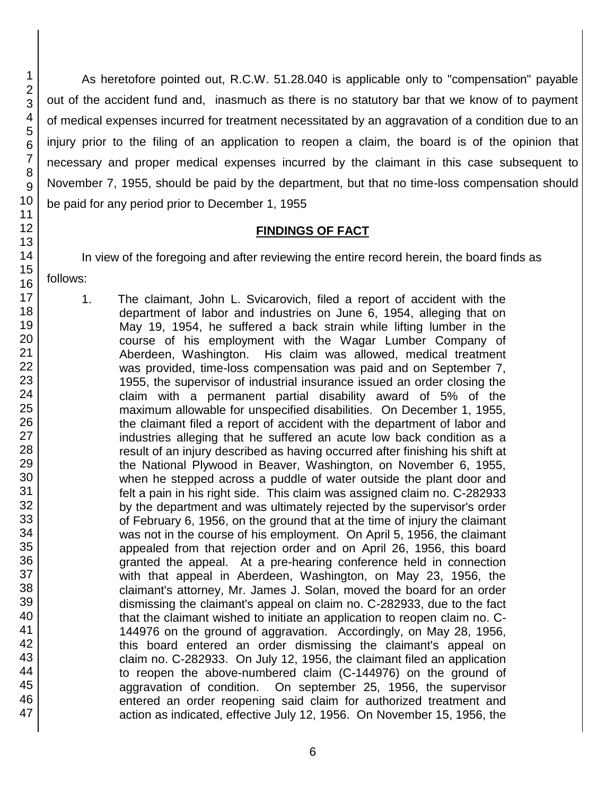As heretofore pointed out, R.C.W. 51.28.040 is applicable only to "compensation" payable out of the accident fund and, inasmuch as there is no statutory bar that we know of to payment of medical expenses incurred for treatment necessitated by an aggravation of a condition due to an injury prior to the filing of an application to reopen a claim, the board is of the opinion that necessary and proper medical expenses incurred by the claimant in this case subsequent to November 7, 1955, should be paid by the department, but that no time-loss compensation should be paid for any period prior to December 1, 1955

#### **FINDINGS OF FACT**

In view of the foregoing and after reviewing the entire record herein, the board finds as follows:

1. The claimant, John L. Svicarovich, filed a report of accident with the department of labor and industries on June 6, 1954, alleging that on May 19, 1954, he suffered a back strain while lifting lumber in the course of his employment with the Wagar Lumber Company of Aberdeen, Washington. His claim was allowed, medical treatment was provided, time-loss compensation was paid and on September 7, 1955, the supervisor of industrial insurance issued an order closing the claim with a permanent partial disability award of 5% of the maximum allowable for unspecified disabilities. On December 1, 1955, the claimant filed a report of accident with the department of labor and industries alleging that he suffered an acute low back condition as a result of an injury described as having occurred after finishing his shift at the National Plywood in Beaver, Washington, on November 6, 1955, when he stepped across a puddle of water outside the plant door and felt a pain in his right side. This claim was assigned claim no. C-282933 by the department and was ultimately rejected by the supervisor's order of February 6, 1956, on the ground that at the time of injury the claimant was not in the course of his employment. On April 5, 1956, the claimant appealed from that rejection order and on April 26, 1956, this board granted the appeal. At a pre-hearing conference held in connection with that appeal in Aberdeen, Washington, on May 23, 1956, the claimant's attorney, Mr. James J. Solan, moved the board for an order dismissing the claimant's appeal on claim no. C-282933, due to the fact that the claimant wished to initiate an application to reopen claim no. C-144976 on the ground of aggravation. Accordingly, on May 28, 1956, this board entered an order dismissing the claimant's appeal on claim no. C-282933. On July 12, 1956, the claimant filed an application to reopen the above-numbered claim (C-144976) on the ground of aggravation of condition. On september 25, 1956, the supervisor entered an order reopening said claim for authorized treatment and action as indicated, effective July 12, 1956. On November 15, 1956, the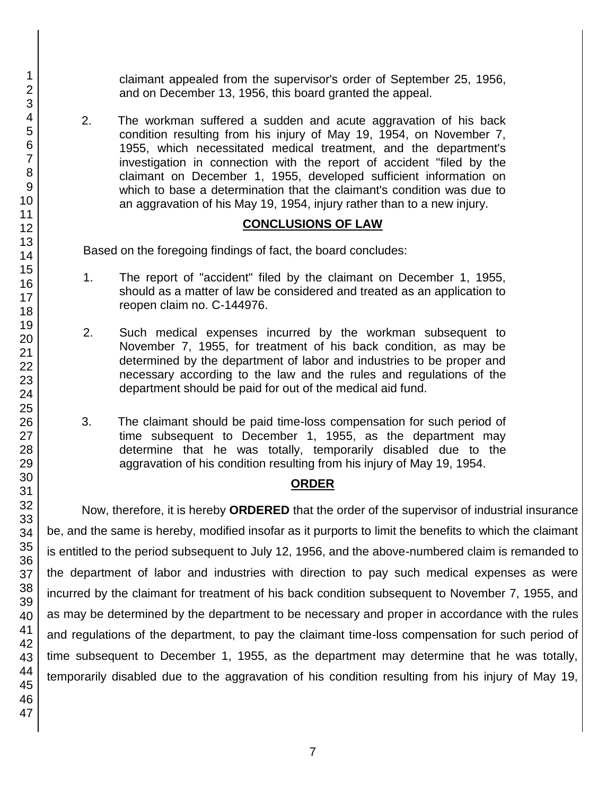claimant appealed from the supervisor's order of September 25, 1956, and on December 13, 1956, this board granted the appeal.

2. The workman suffered a sudden and acute aggravation of his back condition resulting from his injury of May 19, 1954, on November 7, 1955, which necessitated medical treatment, and the department's investigation in connection with the report of accident "filed by the claimant on December 1, 1955, developed sufficient information on which to base a determination that the claimant's condition was due to an aggravation of his May 19, 1954, injury rather than to a new injury.

### **CONCLUSIONS OF LAW**

Based on the foregoing findings of fact, the board concludes:

- 1. The report of "accident" filed by the claimant on December 1, 1955, should as a matter of law be considered and treated as an application to reopen claim no. C-144976.
- 2. Such medical expenses incurred by the workman subsequent to November 7, 1955, for treatment of his back condition, as may be determined by the department of labor and industries to be proper and necessary according to the law and the rules and regulations of the department should be paid for out of the medical aid fund.
- 3. The claimant should be paid time-loss compensation for such period of time subsequent to December 1, 1955, as the department may determine that he was totally, temporarily disabled due to the aggravation of his condition resulting from his injury of May 19, 1954.

#### **ORDER**

Now, therefore, it is hereby **ORDERED** that the order of the supervisor of industrial insurance be, and the same is hereby, modified insofar as it purports to limit the benefits to which the claimant is entitled to the period subsequent to July 12, 1956, and the above-numbered claim is remanded to the department of labor and industries with direction to pay such medical expenses as were incurred by the claimant for treatment of his back condition subsequent to November 7, 1955, and as may be determined by the department to be necessary and proper in accordance with the rules and regulations of the department, to pay the claimant time-loss compensation for such period of time subsequent to December 1, 1955, as the department may determine that he was totally, temporarily disabled due to the aggravation of his condition resulting from his injury of May 19,